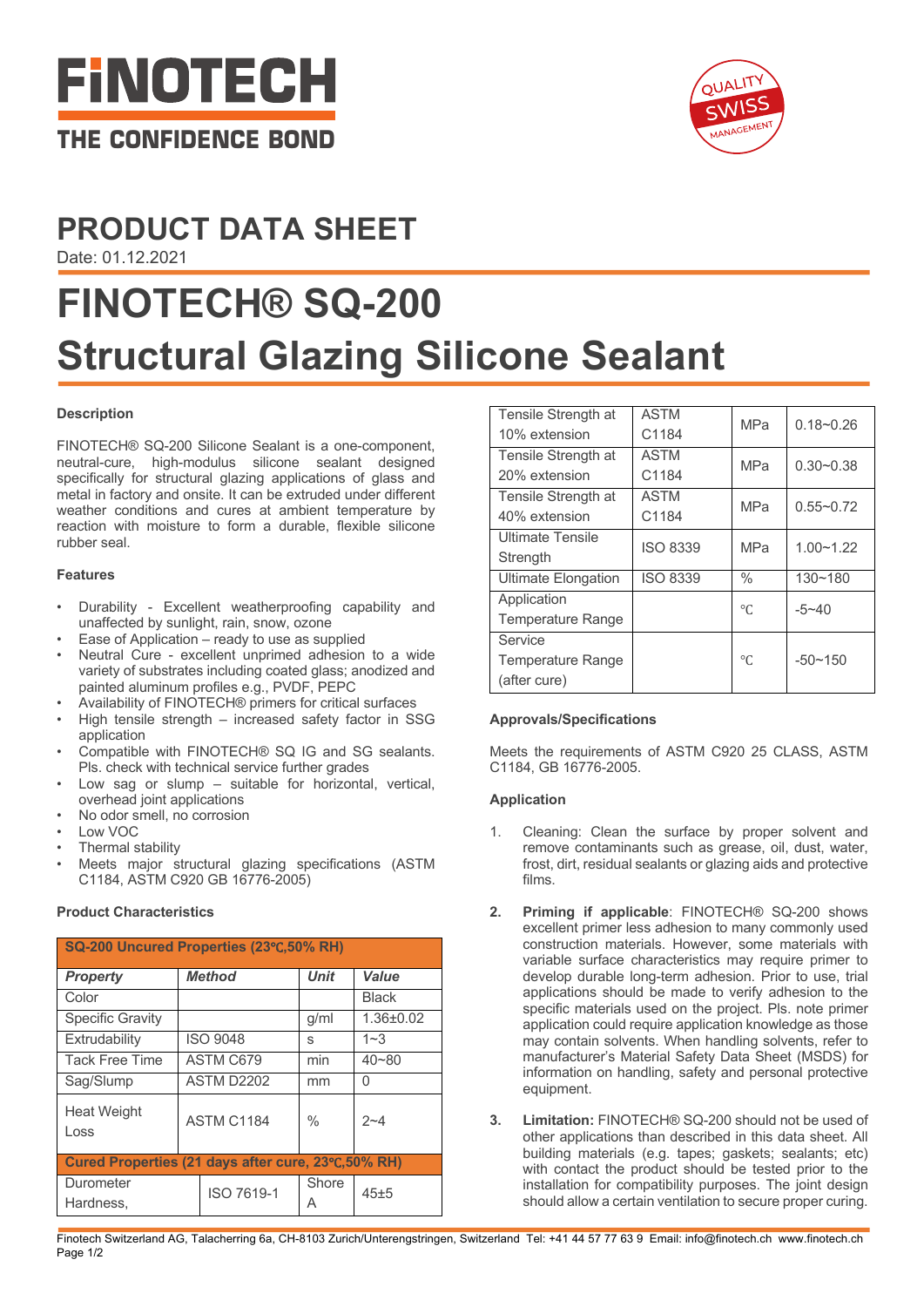

# **PRODUCT DATA SHEET**

Date: 01.12.2021

# **FINOTECH® SQ-200 Structural Glazing Silicone Sealant**

# **Description**

FINOTECH® SQ-200 Silicone Sealant is a one-component, neutral-cure, high-modulus silicone sealant designed specifically for structural glazing applications of glass and metal in factory and onsite. It can be extruded under different weather conditions and cures at ambient temperature by reaction with moisture to form a durable, flexible silicone rubber seal.

#### **Features**

- Durability Excellent weatherproofing capability and unaffected by sunlight, rain, snow, ozone
- Ease of Application  $-$  ready to use as supplied
- Neutral Cure excellent unprimed adhesion to a wide variety of substrates including coated glass; anodized and painted aluminum profiles e.g., PVDF, PEPC
- Availability of FINOTECH® primers for critical surfaces
- High tensile strength increased safety factor in SSG application
- Compatible with FINOTECH® SQ IG and SG sealants. Pls. check with technical service further grades
- Low sag or slump  $-$  suitable for horizontal, vertical, overhead joint applications
- No odor smell, no corrosion
- Low VOC
- Thermal stability
- Meets major structural glazing specifications (ASTM C1184, ASTM C920 GB 16776-2005)

# **Product Characteristics**

| SQ-200 Uncured Properties (23°C,50% RH)            |               |                 |               |                 |  |
|----------------------------------------------------|---------------|-----------------|---------------|-----------------|--|
| <b>Property</b>                                    | <b>Method</b> |                 | <b>Unit</b>   | Value           |  |
| Color                                              |               |                 |               | <b>Black</b>    |  |
| <b>Specific Gravity</b>                            |               |                 | g/ml          | $1.36 \pm 0.02$ |  |
| Extrudability                                      |               | <b>ISO 9048</b> | S             | $1 - 3$         |  |
| <b>Tack Free Time</b>                              | ASTM C679     |                 | min           | $40 - 80$       |  |
| Sag/Slump                                          | ASTM D2202    |                 | mm            | 0               |  |
| Heat Weight<br>Loss                                | ASTM C1184    |                 | $\frac{0}{0}$ | $2 - 4$         |  |
| Cured Properties (21 days after cure, 23°C,50% RH) |               |                 |               |                 |  |
| Durometer<br>Hardness.                             |               | ISO 7619-1      | Shore<br>A    | 45±5            |  |

| Tensile Strength at      | <b>ASTM</b>     | <b>MPa</b>    | $0.18 - 0.26$ |
|--------------------------|-----------------|---------------|---------------|
| 10% extension            | C1184           |               |               |
| Tensile Strength at      | <b>ASTM</b>     | <b>MPa</b>    | $0.30 - 0.38$ |
| 20% extension            | C1184           |               |               |
| Tensile Strength at      | <b>ASTM</b>     | <b>MPa</b>    | $0.55 - 0.72$ |
| 40% extension            | C1184           |               |               |
| <b>Ultimate Tensile</b>  | <b>ISO 8339</b> | <b>MPa</b>    | $1.00 - 1.22$ |
| Strength                 |                 |               |               |
| Ultimate Elongation      | <b>ISO 8339</b> | $\frac{0}{0}$ | $130 - 180$   |
| Application              |                 | $\circ$ C     | $-5 - 40$     |
| <b>Temperature Range</b> |                 |               |               |
| Service                  |                 |               |               |
| Temperature Range        |                 | $\circ$ C     | $-50 - 150$   |
| (after cure)             |                 |               |               |

# **Approvals/Specifications**

Meets the requirements of ASTM C920 25 CLASS, ASTM C1184, GB 16776-2005.

# **Application**

- Cleaning: Clean the surface by proper solvent and remove contaminants such as grease, oil, dust, water, frost, dirt, residual sealants or glazing aids and protective films.
- **2. Priming if applicable**: FINOTECH® SQ-200 shows excellent primer less adhesion to many commonly used construction materials. However, some materials with variable surface characteristics may require primer to develop durable long-term adhesion. Prior to use, trial applications should be made to verify adhesion to the specific materials used on the project. Pls. note primer application could require application knowledge as those may contain solvents. When handling solvents, refer to manufacturer's Material Safety Data Sheet (MSDS) for information on handling, safety and personal protective equipment.
- **3. Limitation:** FINOTECH® SQ-200 should not be used of other applications than described in this data sheet. All building materials (e.g. tapes; gaskets; sealants; etc) with contact the product should be tested prior to the installation for compatibility purposes. The joint design should allow a certain ventilation to secure proper curing.